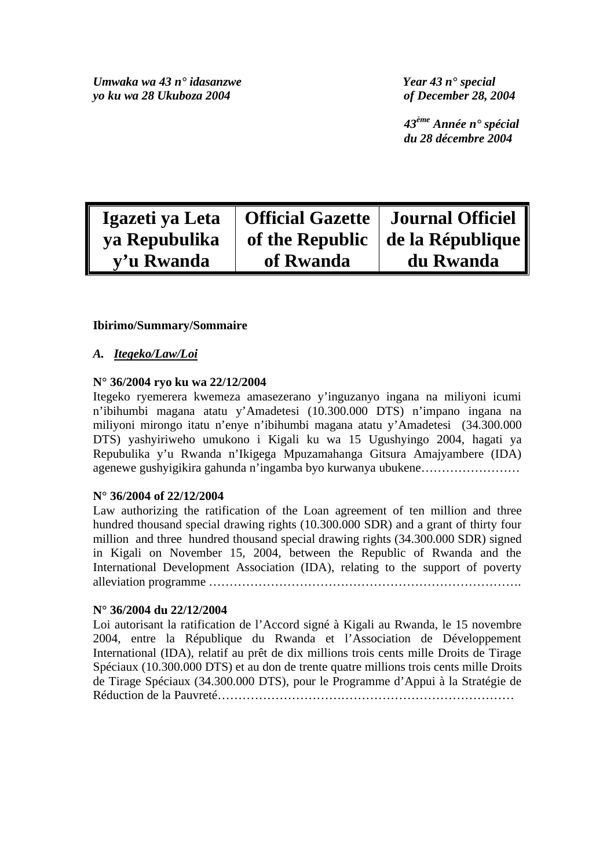*Umwaka wa 43 n° idasanzwe Year 43 n° special yo ku wa 28 Ukuboza 2004 of December 28, 2004* 

 *43ème Année n° spécial du 28 décembre 2004* 

| Igazeti ya Leta | Official Gazette   Journal Officiel |                                          |
|-----------------|-------------------------------------|------------------------------------------|
| ya Repubulika   |                                     | of the Republic $\vert$ de la République |
| y'u Rwanda      | of Rwanda                           | du Rwanda                                |

## **Ibirimo/Summary/Sommaire**

## *A. Itegeko/Law/Loi*

#### **N° 36/2004 ryo ku wa 22/12/2004**

Itegeko ryemerera kwemeza amasezerano y'inguzanyo ingana na miliyoni icumi n'ibihumbi magana atatu y'Amadetesi (10.300.000 DTS) n'impano ingana na miliyoni mirongo itatu n'enye n'ibihumbi magana atatu y'Amadetesi (34.300.000 DTS) yashyiriweho umukono i Kigali ku wa 15 Ugushyingo 2004, hagati ya Repubulika y'u Rwanda n'Ikigega Mpuzamahanga Gitsura Amajyambere (IDA) agenewe gushyigikira gahunda n'ingamba byo kurwanya ubukene……………………

#### **N° 36/2004 of 22/12/2004**

Law authorizing the ratification of the Loan agreement of ten million and three hundred thousand special drawing rights (10.300.000 SDR) and a grant of thirty four million and three hundred thousand special drawing rights (34.300.000 SDR) signed in Kigali on November 15, 2004, between the Republic of Rwanda and the International Development Association (IDA), relating to the support of poverty alleviation programme ………………………………………………………………….

#### **N° 36/2004 du 22/12/2004**

Loi autorisant la ratification de l'Accord signé à Kigali au Rwanda, le 15 novembre 2004, entre la République du Rwanda et l'Association de Développement International (IDA), relatif au prêt de dix millions trois cents mille Droits de Tirage Spéciaux (10.300.000 DTS) et au don de trente quatre millions trois cents mille Droits de Tirage Spéciaux (34.300.000 DTS), pour le Programme d'Appui à la Stratégie de Réduction de la Pauvreté………………………………………………………………